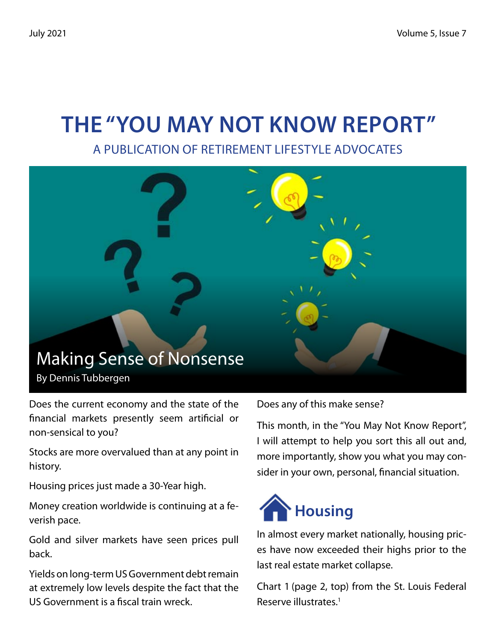## **The "You May Not Know Report"**

A Publication of Retirement Lifestyle Advocates



Does the current economy and the state of the financial markets presently seem artificial or non-sensical to you?

Stocks are more overvalued than at any point in history.

Housing prices just made a 30-Year high.

Money creation worldwide is continuing at a feverish pace.

Gold and silver markets have seen prices pull back.

Yields on long-term US Government debt remain at extremely low levels despite the fact that the US Government is a fiscal train wreck.

Does any of this make sense?

This month, in the "You May Not Know Report", I will attempt to help you sort this all out and, more importantly, show you what you may consider in your own, personal, financial situation.



In almost every market nationally, housing prices have now exceeded their highs prior to the last real estate market collapse.

Chart 1 (page 2, top) from the St. Louis Federal Reserve illustrates.1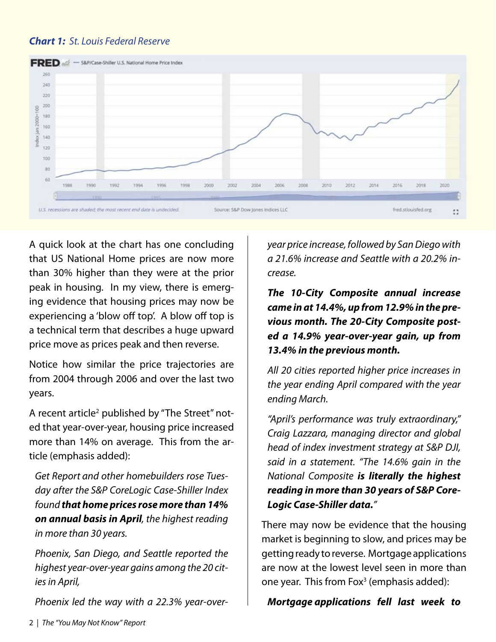### *Chart 1: St. Louis Federal Reserve*



A quick look at the chart has one concluding that US National Home prices are now more than 30% higher than they were at the prior peak in housing. In my view, there is emerging evidence that housing prices may now be experiencing a 'blow off top'. A blow off top is a technical term that describes a huge upward price move as prices peak and then reverse.

Notice how similar the price trajectories are from 2004 through 2006 and over the last two years.

A recent article<sup>2</sup> published by "The Street" noted that year-over-year, housing price increased more than 14% on average. This from the article (emphasis added):

*Get Report and other homebuilders rose Tuesday after the S&P CoreLogic Case-Shiller Index found that home prices rose more than 14% on annual basis in April, the highest reading in more than 30 years.*

*Phoenix, San Diego, and Seattle reported the highest year-over-year gains among the 20 cities in April,*

*Phoenix led the way with a 22.3% year-over-*

*year price increase, followed by San Diego with a 21.6% increase and Seattle with a 20.2% increase.*

*The 10-City Composite annual increase came in at 14.4%, up from 12.9% in the previous month. The 20-City Composite posted a 14.9% year-over-year gain, up from 13.4% in the previous month.*

*All 20 cities reported higher price increases in the year ending April compared with the year ending March.*

*"April's performance was truly extraordinary," Craig Lazzara, managing director and global head of index investment strategy at S&P DJI, said in a statement. "The 14.6% gain in the National Composite is literally the highest reading in more than 30 years of S&P Core-Logic Case-Shiller data."*

There may now be evidence that the housing market is beginning to slow, and prices may be getting ready to reverse. Mortgage applications are now at the lowest level seen in more than one year. This from Fox<sup>3</sup> (emphasis added):

#### *Mortgage applications fell last week to*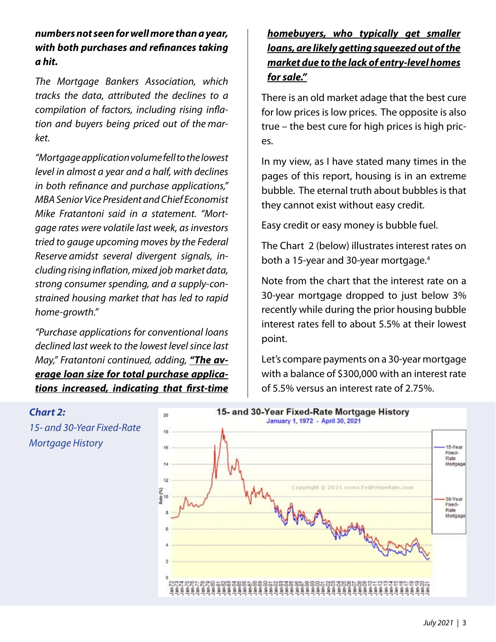*numbers not seen for well more than a year, with both purchases and refinances taking a hit.*

*The Mortgage Bankers Association, which tracks the data, attributed the declines to a compilation of factors, including rising inflation and buyers being priced out of the market.*

*"Mortgage application volume fell to the lowest level in almost a year and a half, with declines in both refinance and purchase applications," MBA Senior Vice President and Chief Economist Mike Fratantoni said in a statement. "Mortgage rates were volatile last week, as investors tried to gauge upcoming moves by the Federal Reserve amidst several divergent signals, including rising inflation, mixed job market data, strong consumer spending, and a supply-constrained housing market that has led to rapid home-growth."*

*"Purchase applications for conventional loans declined last week to the lowest level since last May," Fratantoni continued, adding, "The average loan size for total purchase applications increased, indicating that first-time*

### *homebuyers, who typically get smaller loans, are likely getting squeezed out of the market due to the lack of entry-level homes for sale."*

There is an old market adage that the best cure for low prices is low prices. The opposite is also true – the best cure for high prices is high prices.

In my view, as I have stated many times in the pages of this report, housing is in an extreme bubble. The eternal truth about bubbles is that they cannot exist without easy credit.

Easy credit or easy money is bubble fuel.

The Chart 2 (below) illustrates interest rates on both a 15-year and 30-year mortgage.4

Note from the chart that the interest rate on a 30-year mortgage dropped to just below 3% recently while during the prior housing bubble interest rates fell to about 5.5% at their lowest point.

Let's compare payments on a 30-year mortgage with a balance of \$300,000 with an interest rate of 5.5% versus an interest rate of 2.75%.

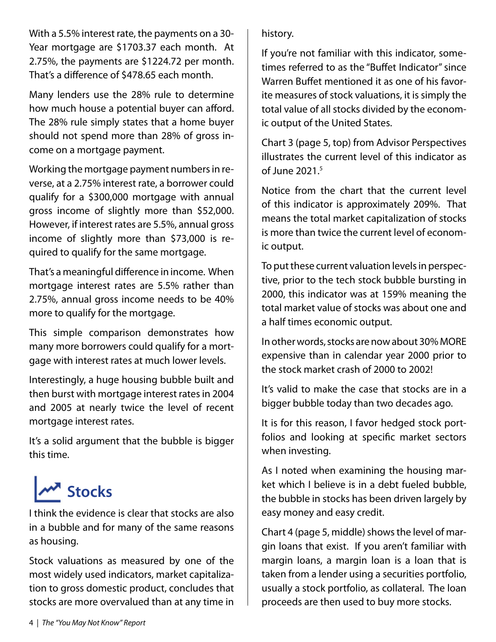With a 5.5% interest rate, the payments on a 30- Year mortgage are \$1703.37 each month. At 2.75%, the payments are \$1224.72 per month. That's a difference of \$478.65 each month.

Many lenders use the 28% rule to determine how much house a potential buyer can afford. The 28% rule simply states that a home buyer should not spend more than 28% of gross income on a mortgage payment.

Working the mortgage payment numbers in reverse, at a 2.75% interest rate, a borrower could qualify for a \$300,000 mortgage with annual gross income of slightly more than \$52,000. However, if interest rates are 5.5%, annual gross income of slightly more than \$73,000 is required to qualify for the same mortgage.

That's a meaningful difference in income. When mortgage interest rates are 5.5% rather than 2.75%, annual gross income needs to be 40% more to qualify for the mortgage.

This simple comparison demonstrates how many more borrowers could qualify for a mortgage with interest rates at much lower levels.

Interestingly, a huge housing bubble built and then burst with mortgage interest rates in 2004 and 2005 at nearly twice the level of recent mortgage interest rates.

It's a solid argument that the bubble is bigger this time.

# **MA** Stocks

I think the evidence is clear that stocks are also in a bubble and for many of the same reasons as housing.

Stock valuations as measured by one of the most widely used indicators, market capitalization to gross domestic product, concludes that stocks are more overvalued than at any time in history.

If you're not familiar with this indicator, sometimes referred to as the "Buffet Indicator" since Warren Buffet mentioned it as one of his favorite measures of stock valuations, it is simply the total value of all stocks divided by the economic output of the United States.

Chart 3 (page 5, top) from Advisor Perspectives illustrates the current level of this indicator as of June 2021.5

Notice from the chart that the current level of this indicator is approximately 209%. That means the total market capitalization of stocks is more than twice the current level of economic output.

To put these current valuation levels in perspective, prior to the tech stock bubble bursting in 2000, this indicator was at 159% meaning the total market value of stocks was about one and a half times economic output.

In other words, stocks are now about 30% MORE expensive than in calendar year 2000 prior to the stock market crash of 2000 to 2002!

It's valid to make the case that stocks are in a bigger bubble today than two decades ago.

It is for this reason, I favor hedged stock portfolios and looking at specific market sectors when investing.

As I noted when examining the housing market which I believe is in a debt fueled bubble, the bubble in stocks has been driven largely by easy money and easy credit.

Chart 4 (page 5, middle) shows the level of margin loans that exist. If you aren't familiar with margin loans, a margin loan is a loan that is taken from a lender using a securities portfolio, usually a stock portfolio, as collateral. The loan proceeds are then used to buy more stocks.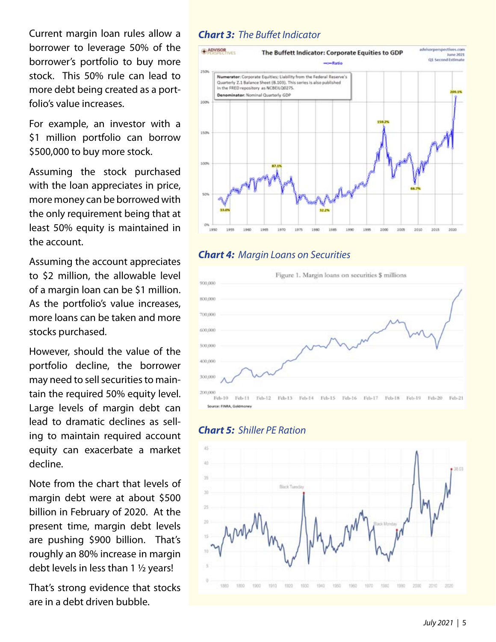Current margin loan rules allow a borrower to leverage 50% of the borrower's portfolio to buy more stock. This 50% rule can lead to more debt being created as a portfolio's value increases.

For example, an investor with a \$1 million portfolio can borrow \$500,000 to buy more stock.

Assuming the stock purchased with the loan appreciates in price, more money can be borrowed with the only requirement being that at least 50% equity is maintained in the account.

Assuming the account appreciates to \$2 million, the allowable level of a margin loan can be \$1 million. As the portfolio's value increases, more loans can be taken and more stocks purchased.

However, should the value of the portfolio decline, the borrower may need to sell securities to maintain the required 50% equity level. Large levels of margin debt can lead to dramatic declines as selling to maintain required account equity can exacerbate a market decline.

Note from the chart that levels of margin debt were at about \$500 billion in February of 2020. At the present time, margin debt levels are pushing \$900 billion. That's roughly an 80% increase in margin debt levels in less than 1 ½ years!

That's strong evidence that stocks are in a debt driven bubble.

#### *Chart 3: The Buffet Indicator*



### *Chart 4: Margin Loans on Securities*



#### *Chart 5: Shiller PE Ration*

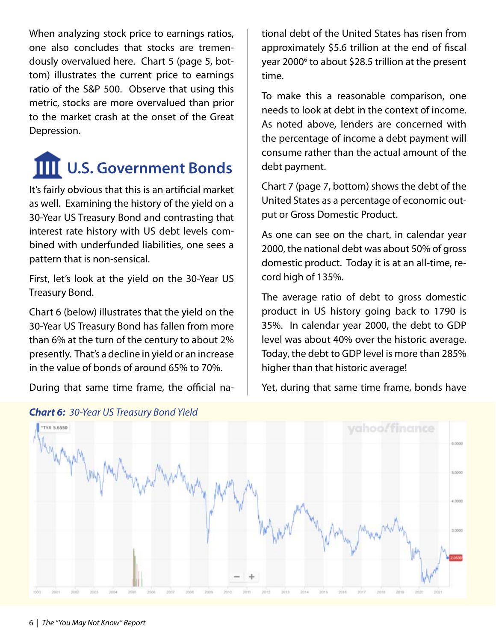When analyzing stock price to earnings ratios, one also concludes that stocks are tremendously overvalued here. Chart 5 (page 5, bottom) illustrates the current price to earnings ratio of the S&P 500. Observe that using this metric, stocks are more overvalued than prior to the market crash at the onset of the Great Depression.

## **IIII** U.S. Government Bonds

It's fairly obvious that this is an artificial market as well. Examining the history of the yield on a 30-Year US Treasury Bond and contrasting that interest rate history with US debt levels combined with underfunded liabilities, one sees a pattern that is non-sensical.

First, let's look at the yield on the 30-Year US Treasury Bond.

Chart 6 (below) illustrates that the yield on the 30-Year US Treasury Bond has fallen from more than 6% at the turn of the century to about 2% presently. That's a decline in yield or an increase in the value of bonds of around 65% to 70%.

During that same time frame, the official na-

tional debt of the United States has risen from approximately \$5.6 trillion at the end of fiscal year 2000<sup>6</sup> to about \$28.5 trillion at the present time.

To make this a reasonable comparison, one needs to look at debt in the context of income. As noted above, lenders are concerned with the percentage of income a debt payment will consume rather than the actual amount of the debt payment.

Chart 7 (page 7, bottom) shows the debt of the United States as a percentage of economic output or Gross Domestic Product.

As one can see on the chart, in calendar year 2000, the national debt was about 50% of gross domestic product. Today it is at an all-time, record high of 135%.

The average ratio of debt to gross domestic product in US history going back to 1790 is 35%. In calendar year 2000, the debt to GDP level was about 40% over the historic average. Today, the debt to GDP level is more than 285% higher than that historic average!

Yet, during that same time frame, bonds have



#### *Chart 6: 30-Year US Treasury Bond Yield*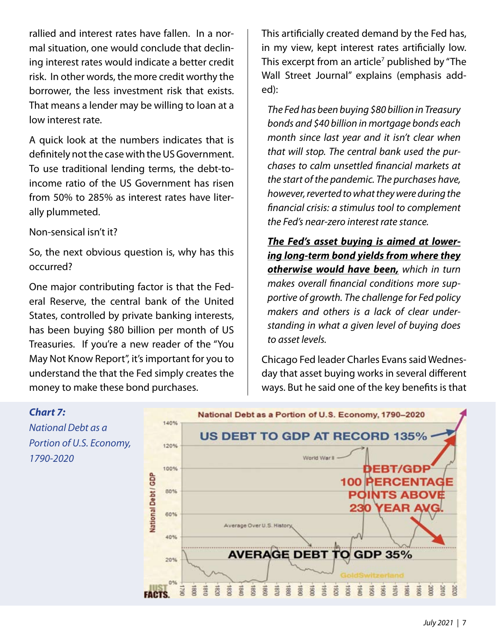rallied and interest rates have fallen. In a normal situation, one would conclude that declining interest rates would indicate a better credit risk. In other words, the more credit worthy the borrower, the less investment risk that exists. That means a lender may be willing to loan at a low interest rate.

A quick look at the numbers indicates that is definitely not the case with the US Government. To use traditional lending terms, the debt-toincome ratio of the US Government has risen from 50% to 285% as interest rates have literally plummeted.

Non-sensical isn't it?

So, the next obvious question is, why has this occurred?

One major contributing factor is that the Federal Reserve, the central bank of the United States, controlled by private banking interests, has been buying \$80 billion per month of US Treasuries. If you're a new reader of the "You May Not Know Report", it's important for you to understand the that the Fed simply creates the money to make these bond purchases.

This artificially created demand by the Fed has, in my view, kept interest rates artificially low. This excerpt from an article<sup>7</sup> published by "The Wall Street Journal" explains (emphasis added):

*The Fed has been buying \$80 billion in Treasury bonds and \$40 billion in mortgage bonds each month since last year and it isn't clear when that will stop. The central bank used the purchases to calm unsettled financial markets at the start of the pandemic. The purchases have, however, reverted to what they were during the financial crisis: a stimulus tool to complement the Fed's near-zero interest rate stance.*

*The Fed's asset buying is aimed at lowering long-term bond yields from where they otherwise would have been, which in turn makes overall financial conditions more supportive of growth. The challenge for Fed policy makers and others is a lack of clear understanding in what a given level of buying does to asset levels.*

Chicago Fed leader Charles Evans said Wednesday that asset buying works in several different ways. But he said one of the key benefits is that

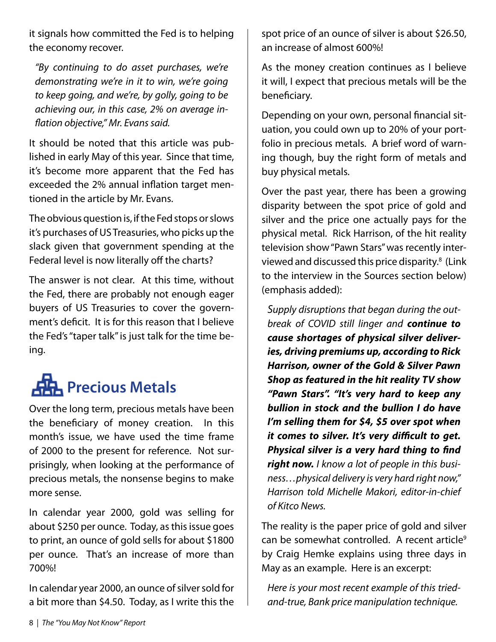it signals how committed the Fed is to helping the economy recover.

*"By continuing to do asset purchases, we're demonstrating we're in it to win, we're going to keep going, and we're, by golly, going to be achieving our, in this case, 2% on average inflation objective," Mr. Evans said.*

It should be noted that this article was published in early May of this year. Since that time, it's become more apparent that the Fed has exceeded the 2% annual inflation target mentioned in the article by Mr. Evans.

The obvious question is, if the Fed stops or slows it's purchases of US Treasuries, who picks up the slack given that government spending at the Federal level is now literally off the charts?

The answer is not clear. At this time, without the Fed, there are probably not enough eager buyers of US Treasuries to cover the government's deficit. It is for this reason that I believe the Fed's "taper talk" is just talk for the time being.

## **Precious Metals**

Over the long term, precious metals have been the beneficiary of money creation. In this month's issue, we have used the time frame of 2000 to the present for reference. Not surprisingly, when looking at the performance of precious metals, the nonsense begins to make more sense.

In calendar year 2000, gold was selling for about \$250 per ounce. Today, as this issue goes to print, an ounce of gold sells for about \$1800 per ounce. That's an increase of more than 700%!

In calendar year 2000, an ounce of silver sold for a bit more than \$4.50. Today, as I write this the spot price of an ounce of silver is about \$26.50, an increase of almost 600%!

As the money creation continues as I believe it will, I expect that precious metals will be the beneficiary.

Depending on your own, personal financial situation, you could own up to 20% of your portfolio in precious metals. A brief word of warning though, buy the right form of metals and buy physical metals.

Over the past year, there has been a growing disparity between the spot price of gold and silver and the price one actually pays for the physical metal. Rick Harrison, of the hit reality television show "Pawn Stars" was recently interviewed and discussed this price disparity.<sup>8</sup> (Link to the interview in the Sources section below) (emphasis added):

*Supply disruptions that began during the outbreak of COVID still linger and continue to cause shortages of physical silver deliveries, driving premiums up, according to Rick Harrison, owner of the Gold & Silver Pawn Shop as featured in the hit reality TV show "Pawn Stars". "It's very hard to keep any bullion in stock and the bullion I do have I'm selling them for \$4, \$5 over spot when it comes to silver. It's very difficult to get. Physical silver is a very hard thing to find right now. I know a lot of people in this business…physical delivery is very hard right now," Harrison told Michelle Makori, editor-in-chief of Kitco News.*

The reality is the paper price of gold and silver can be somewhat controlled. A recent article<sup>9</sup> by Craig Hemke explains using three days in May as an example. Here is an excerpt:

*Here is your most recent example of this triedand-true, Bank price manipulation technique.*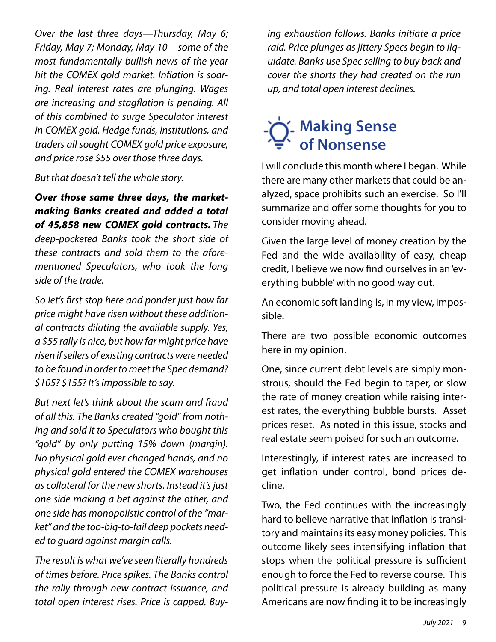*Over the last three days—Thursday, May 6; Friday, May 7; Monday, May 10—some of the most fundamentally bullish news of the year hit the COMEX gold market. Inflation is soaring. Real interest rates are plunging. Wages are increasing and stagflation is pending. All of this combined to surge Speculator interest in COMEX gold. Hedge funds, institutions, and traders all sought COMEX gold price exposure, and price rose \$55 over those three days.*

*But that doesn't tell the whole story.*

*Over those same three days, the marketmaking Banks created and added a total of 45,858 new COMEX gold contracts. The deep-pocketed Banks took the short side of these contracts and sold them to the aforementioned Speculators, who took the long side of the trade.*

*So let's first stop here and ponder just how far price might have risen without these additional contracts diluting the available supply. Yes, a \$55 rally is nice, but how far might price have risen if sellers of existing contracts were needed to be found in order to meet the Spec demand? \$105? \$155? It's impossible to say.*

*But next let's think about the scam and fraud of all this. The Banks created "gold" from nothing and sold it to Speculators who bought this "gold" by only putting 15% down (margin). No physical gold ever changed hands, and no physical gold entered the COMEX warehouses as collateral for the new shorts. Instead it's just one side making a bet against the other, and one side has monopolistic control of the "market" and the too-big-to-fail deep pockets needed to guard against margin calls.*

*The result is what we've seen literally hundreds of times before. Price spikes. The Banks control the rally through new contract issuance, and total open interest rises. Price is capped. Buy-* *ing exhaustion follows. Banks initiate a price raid. Price plunges as jittery Specs begin to liquidate. Banks use Spec selling to buy back and cover the shorts they had created on the run up, and total open interest declines.*

## **Making Sense of Nonsense**

I will conclude this month where I began. While there are many other markets that could be analyzed, space prohibits such an exercise. So I'll summarize and offer some thoughts for you to consider moving ahead.

Given the large level of money creation by the Fed and the wide availability of easy, cheap credit, I believe we now find ourselves in an 'everything bubble' with no good way out.

An economic soft landing is, in my view, impossible.

There are two possible economic outcomes here in my opinion.

One, since current debt levels are simply monstrous, should the Fed begin to taper, or slow the rate of money creation while raising interest rates, the everything bubble bursts. Asset prices reset. As noted in this issue, stocks and real estate seem poised for such an outcome.

Interestingly, if interest rates are increased to get inflation under control, bond prices decline.

Two, the Fed continues with the increasingly hard to believe narrative that inflation is transitory and maintains its easy money policies. This outcome likely sees intensifying inflation that stops when the political pressure is sufficient enough to force the Fed to reverse course. This political pressure is already building as many Americans are now finding it to be increasingly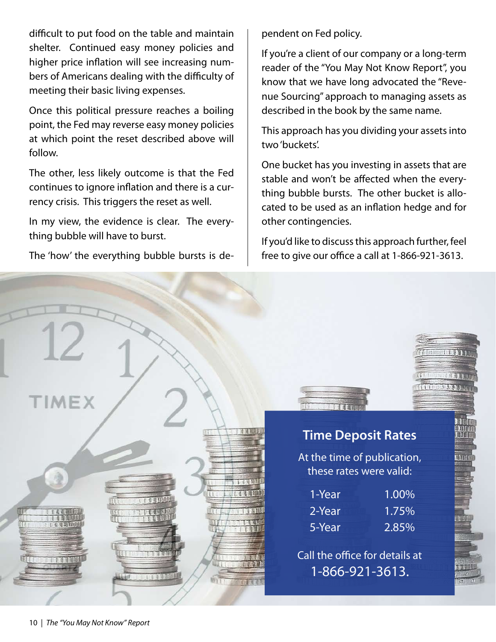difficult to put food on the table and maintain shelter. Continued easy money policies and higher price inflation will see increasing numbers of Americans dealing with the difficulty of meeting their basic living expenses.

Once this political pressure reaches a boiling point, the Fed may reverse easy money policies at which point the reset described above will follow.

The other, less likely outcome is that the Fed continues to ignore inflation and there is a currency crisis. This triggers the reset as well.

In my view, the evidence is clear. The everything bubble will have to burst.

The 'how' the everything bubble bursts is de-

pendent on Fed policy.

If you're a client of our company or a long-term reader of the "You May Not Know Report", you know that we have long advocated the "Revenue Sourcing" approach to managing assets as described in the book by the same name.

This approach has you dividing your assets into two 'buckets'.

One bucket has you investing in assets that are stable and won't be affected when the everything bubble bursts. The other bucket is allocated to be used as an inflation hedge and for other contingencies.

If you'd like to discuss this approach further, feel free to give our office a call at 1-866-921-3613.



### **Time Deposit Rates**

At the time of publication, these rates were valid:

| 1-Year | 1.00%    |
|--------|----------|
| 2-Year | $1.75\%$ |
| 5-Year | $2.85\%$ |

Call the office for details at 1-866-921-3613.

TOTT



TIMEX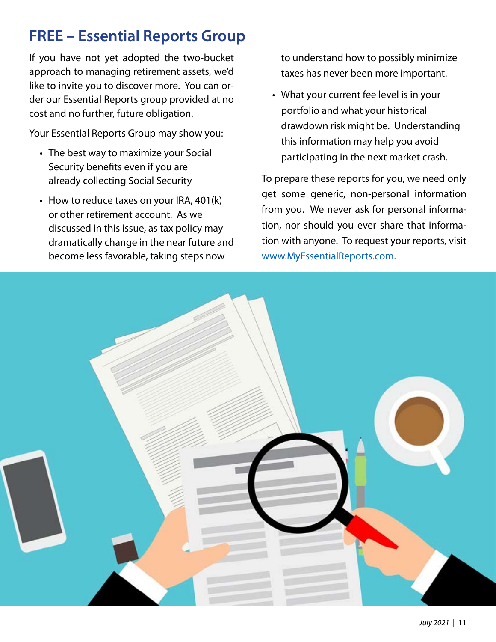## **FREE – Essential Reports Group**

If you have not yet adopted the two-bucket approach to managing retirement assets, we'd like to invite you to discover more. You can order our Essential Reports group provided at no cost and no further, future obligation.

Your Essential Reports Group may show you:

- The best way to maximize your Social Security benefits even if you are already collecting Social Security
- How to reduce taxes on your IRA, 401(k) or other retirement account. As we discussed in this issue, as tax policy may dramatically change in the near future and become less favorable, taking steps now

to understand how to possibly minimize taxes has never been more important.

What your current fee level is in your •portfolio and what your historical drawdown risk might be. Understanding this information may help you avoid participating in the next market crash.

To prepare these reports for you, we need only get some generic, non-personal information from you. We never ask for personal information, nor should you ever share that information with anyone. To request your reports, visit www.MyEssentialReports.com.